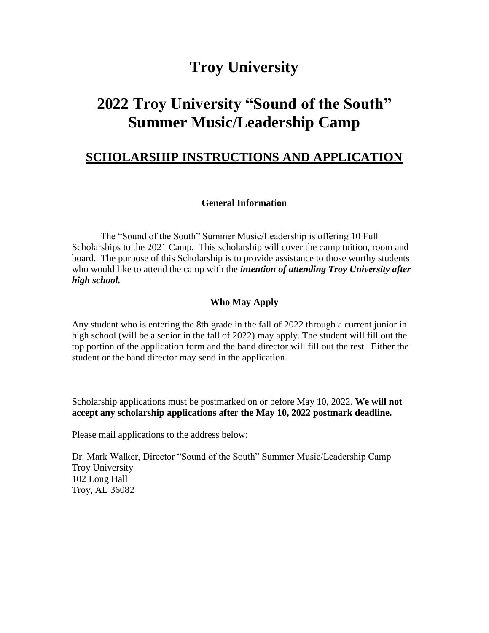## **Troy University**

# **2022 Troy University "Sound of the South" Summer Music/Leadership Camp**

## **SCHOLARSHIP INSTRUCTIONS AND APPLICATION**

#### **General Information**

The "Sound of the South" Summer Music/Leadership is offering 10 Full Scholarships to the 2021 Camp. This scholarship will cover the camp tuition, room and board. The purpose of this Scholarship is to provide assistance to those worthy students who would like to attend the camp with the *intention of attending Troy University after high school.*

#### **Who May Apply**

Any student who is entering the 8th grade in the fall of 2022 through a current junior in high school (will be a senior in the fall of 2022) may apply. The student will fill out the top portion of the application form and the band director will fill out the rest. Either the student or the band director may send in the application.

Scholarship applications must be postmarked on or before May 10, 2022. **We will not accept any scholarship applications after the May 10, 2022 postmark deadline.**

Please mail applications to the address below:

Dr. Mark Walker, Director "Sound of the South" Summer Music/Leadership Camp Troy University 102 Long Hall Troy, AL 36082